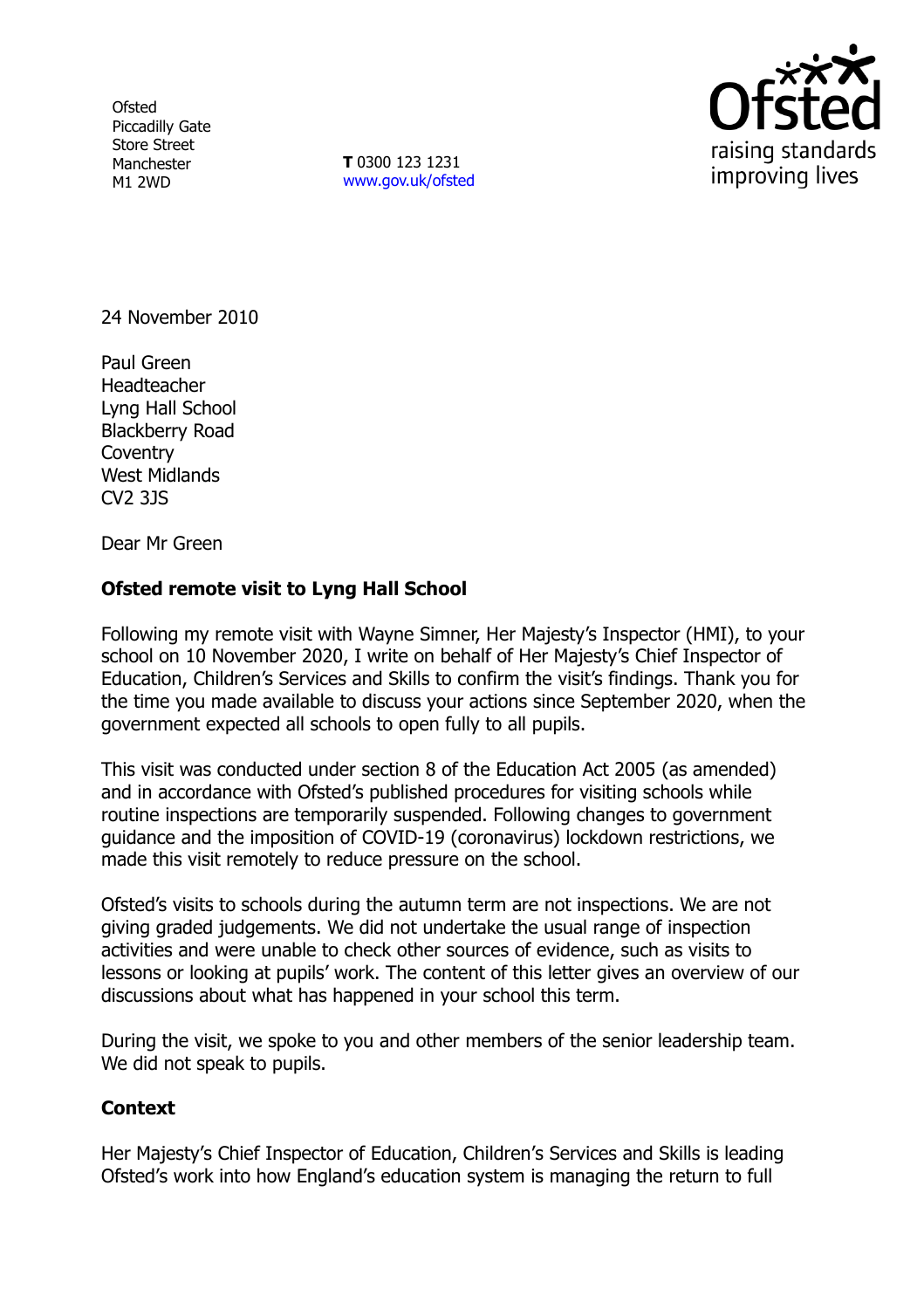**Ofsted** Piccadilly Gate Store Street Manchester M1 2WD

**T** 0300 123 1231 [www.gov.uk/ofsted](http://www.gov.uk/ofsted)



24 November 2010

Paul Green **Headteacher** Lyng Hall School Blackberry Road **Coventry** West Midlands CV2 3JS

Dear Mr Green

## **Ofsted remote visit to Lyng Hall School**

Following my remote visit with Wayne Simner, Her Majesty's Inspector (HMI), to your school on 10 November 2020, I write on behalf of Her Majesty's Chief Inspector of Education, Children's Services and Skills to confirm the visit's findings. Thank you for the time you made available to discuss your actions since September 2020, when the government expected all schools to open fully to all pupils.

This visit was conducted under section 8 of the Education Act 2005 (as amended) and in accordance with Ofsted's published procedures for visiting schools while routine inspections are temporarily suspended. Following changes to government guidance and the imposition of COVID-19 (coronavirus) lockdown restrictions, we made this visit remotely to reduce pressure on the school.

Ofsted's visits to schools during the autumn term are not inspections. We are not giving graded judgements. We did not undertake the usual range of inspection activities and were unable to check other sources of evidence, such as visits to lessons or looking at pupils' work. The content of this letter gives an overview of our discussions about what has happened in your school this term.

During the visit, we spoke to you and other members of the senior leadership team. We did not speak to pupils.

## **Context**

Her Majesty's Chief Inspector of Education, Children's Services and Skills is leading Ofsted's work into how England's education system is managing the return to full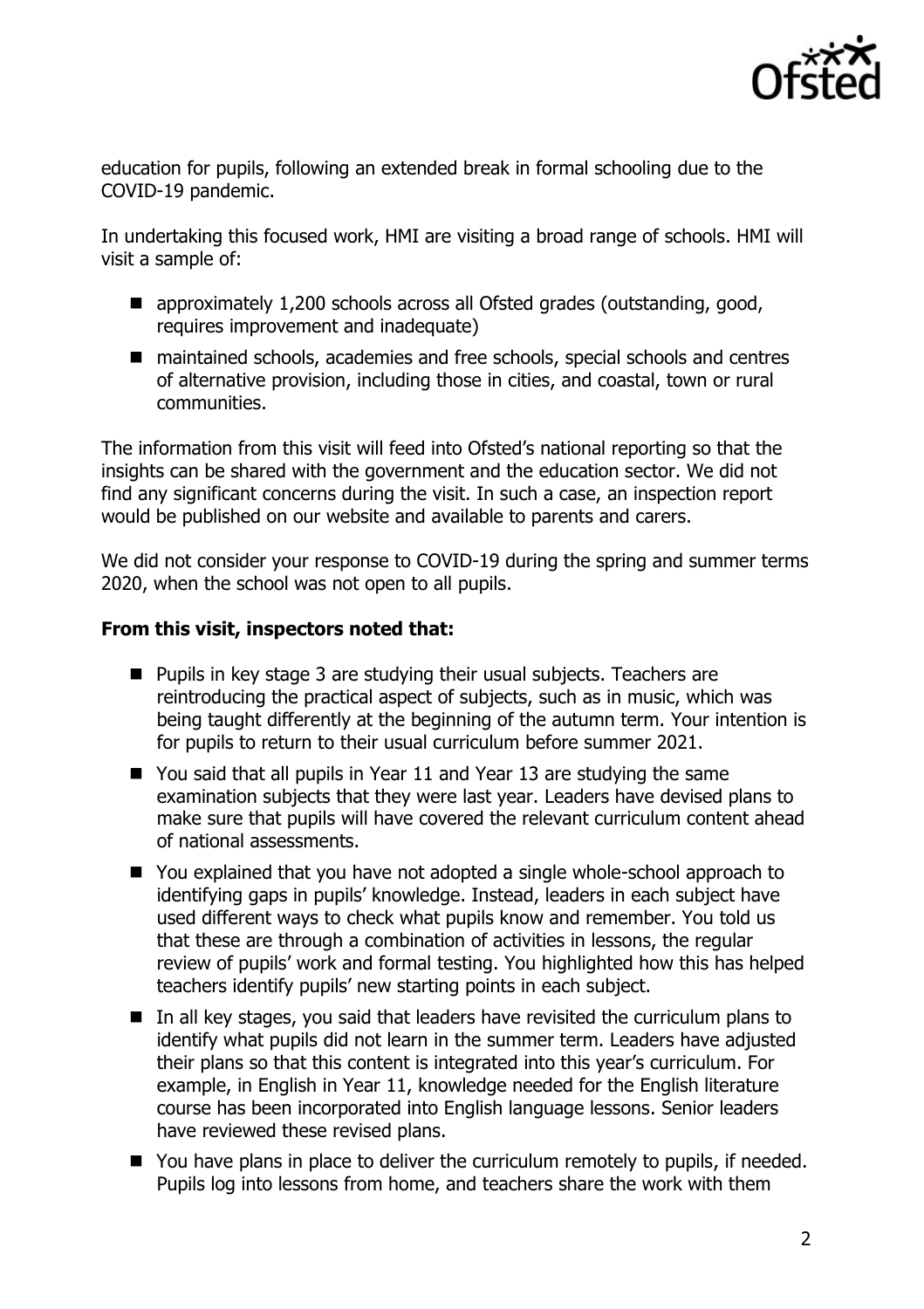

education for pupils, following an extended break in formal schooling due to the COVID-19 pandemic.

In undertaking this focused work, HMI are visiting a broad range of schools. HMI will visit a sample of:

- approximately 1,200 schools across all Ofsted grades (outstanding, good, requires improvement and inadequate)
- maintained schools, academies and free schools, special schools and centres of alternative provision, including those in cities, and coastal, town or rural communities.

The information from this visit will feed into Ofsted's national reporting so that the insights can be shared with the government and the education sector. We did not find any significant concerns during the visit. In such a case, an inspection report would be published on our website and available to parents and carers.

We did not consider your response to COVID-19 during the spring and summer terms 2020, when the school was not open to all pupils.

## **From this visit, inspectors noted that:**

- **Pupils in key stage 3 are studying their usual subjects. Teachers are** reintroducing the practical aspect of subjects, such as in music, which was being taught differently at the beginning of the autumn term. Your intention is for pupils to return to their usual curriculum before summer 2021.
- You said that all pupils in Year 11 and Year 13 are studying the same examination subjects that they were last year. Leaders have devised plans to make sure that pupils will have covered the relevant curriculum content ahead of national assessments.
- You explained that you have not adopted a single whole-school approach to identifying gaps in pupils' knowledge. Instead, leaders in each subject have used different ways to check what pupils know and remember. You told us that these are through a combination of activities in lessons, the regular review of pupils' work and formal testing. You highlighted how this has helped teachers identify pupils' new starting points in each subject.
- $\blacksquare$  In all key stages, you said that leaders have revisited the curriculum plans to identify what pupils did not learn in the summer term. Leaders have adjusted their plans so that this content is integrated into this year's curriculum. For example, in English in Year 11, knowledge needed for the English literature course has been incorporated into English language lessons. Senior leaders have reviewed these revised plans.
- You have plans in place to deliver the curriculum remotely to pupils, if needed. Pupils log into lessons from home, and teachers share the work with them